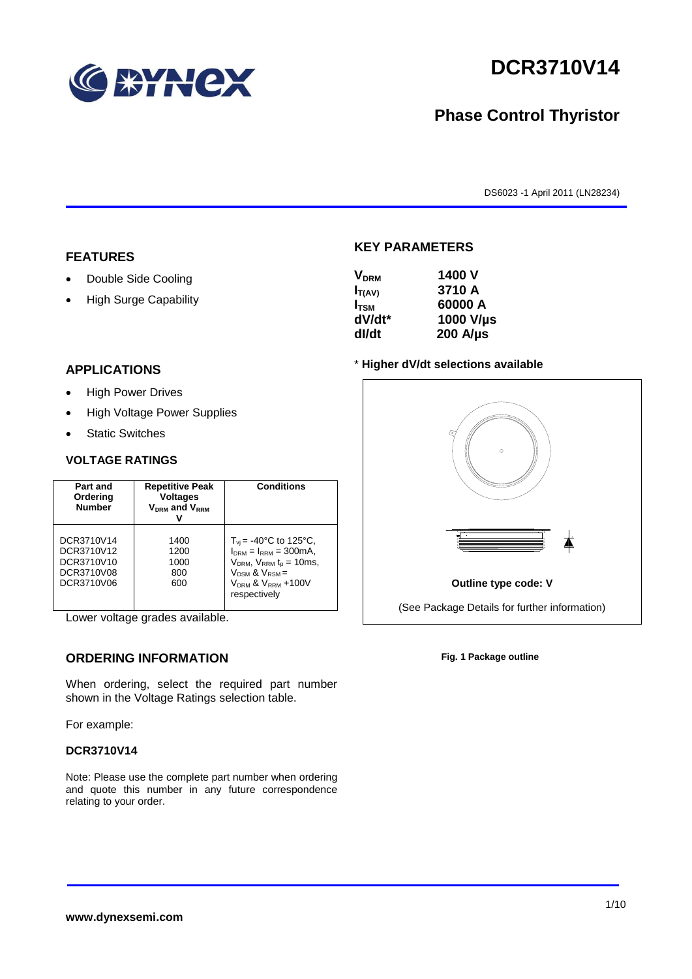

# **DCR3710V14**

# **Phase Control Thyristor**

DS6023 -1 April 2011 (LN28234)

#### **FEATURES**

- Double Side Cooling
- High Surge Capability

### **KEY PARAMETERS VDRM 1400 V**

| <b>V</b> <sub>DRM</sub> | 1400 V           |
|-------------------------|------------------|
| $I_{T(AV)}$             | 3710 A           |
| $I_{TSM}$               | 60000 A          |
| dV/dt*                  | 1000 V/µs        |
| dl/dt                   | $200$ A/ $\mu$ s |
|                         |                  |

#### **APPLICATIONS**

- High Power Drives
- High Voltage Power Supplies
- Static Switches

#### **VOLTAGE RATINGS**

| Part and<br>Ordering<br><b>Number</b>                              | <b>Repetitive Peak</b><br><b>Voltages</b><br>$V_{DRM}$ and $V_{RRM}$ | <b>Conditions</b>                                                                                                                                                                 |
|--------------------------------------------------------------------|----------------------------------------------------------------------|-----------------------------------------------------------------------------------------------------------------------------------------------------------------------------------|
| DCR3710V14<br>DCR3710V12<br>DCR3710V10<br>DCR3710V08<br>DCR3710V06 | 1400<br>1200<br>1000<br>800<br>600                                   | $T_{vi}$ = -40°C to 125°C,<br>$I_{DRM} = I_{RRM} = 300 \text{mA}$ ,<br>$V_{DRM}$ , $V_{RRM}$ $t_{p}$ = 10ms,<br>$V_{DSM}$ & $V_{RSM}$ =<br>$VDRM$ & $VRRM + 100V$<br>respectively |

Lower voltage grades available.

### **ORDERING INFORMATION**

When ordering, select the required part number shown in the Voltage Ratings selection table.

For example:

#### **DCR3710V14**

Note: Please use the complete part number when ordering and quote this number in any future correspondence relating to your order.



**Fig. 1 Package outline**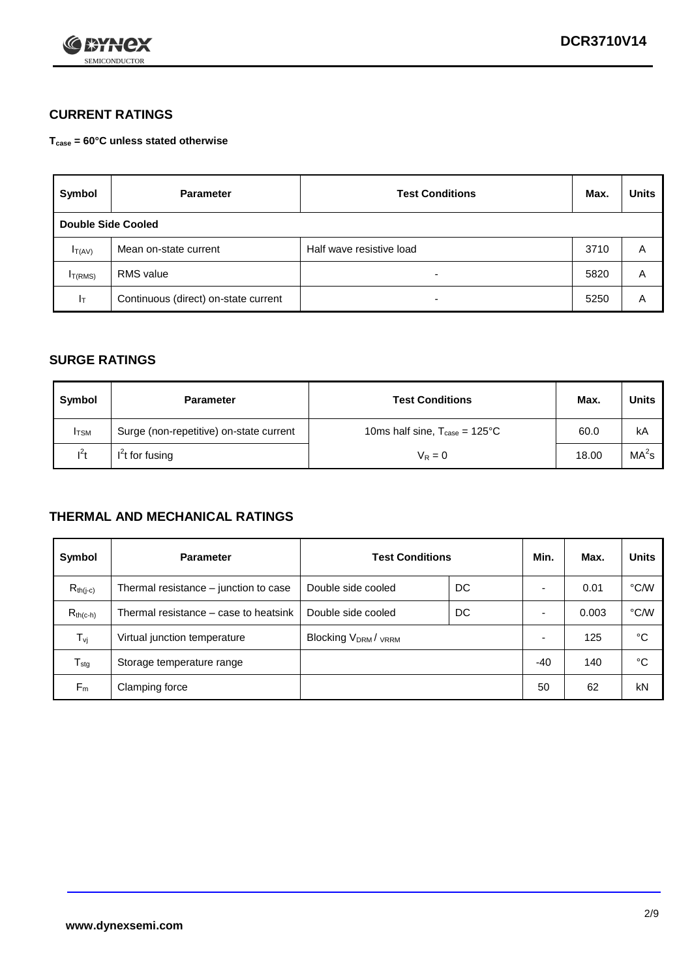

### **CURRENT RATINGS**

**Tcase = 60°C unless stated otherwise**

| Symbol             | <b>Test Conditions</b><br><b>Parameter</b> |                          | Max. | <b>Units</b> |
|--------------------|--------------------------------------------|--------------------------|------|--------------|
| Double Side Cooled |                                            |                          |      |              |
| $I_{T(AV)}$        | Mean on-state current                      | Half wave resistive load | 3710 | A            |
| $I_{T(RMS)}$       | RMS value                                  | $\overline{\phantom{a}}$ | 5820 | Α            |
| Iт                 | Continuous (direct) on-state current       | $\overline{\phantom{a}}$ | 5250 | Α            |

#### **SURGE RATINGS**

| Symbol       | <b>Parameter</b>                        | <b>Test Conditions</b>                            | Max.  | <b>Units</b>      |
|--------------|-----------------------------------------|---------------------------------------------------|-------|-------------------|
| <b>I</b> TSM | Surge (non-repetitive) on-state current | 10ms half sine, $T_{\text{case}} = 125^{\circ}$ C | 60.0  | kA                |
| $l^2t$       | $I2t$ for fusing                        | $V_R = 0$                                         | 18.00 | MA <sup>2</sup> s |

#### **THERMAL AND MECHANICAL RATINGS**

| Symbol           | <b>Parameter</b>                      | <b>Test Conditions</b>    |    | Min.  | Max.  | <b>Units</b> |
|------------------|---------------------------------------|---------------------------|----|-------|-------|--------------|
| $R_{th(i-c)}$    | Thermal resistance – junction to case | Double side cooled        | DC |       | 0.01  | °C/W         |
| $R_{th(c-h)}$    | Thermal resistance – case to heatsink | Double side cooled        | DC |       | 0.003 | °C/W         |
| $T_{\nu j}$      | Virtual junction temperature          | <b>Blocking VDRM/VRRM</b> |    |       | 125   | °C           |
| $T_{\text{stg}}$ | Storage temperature range             |                           |    | $-40$ | 140   | °C           |
| $F_m$            | Clamping force                        |                           |    | 50    | 62    | kN           |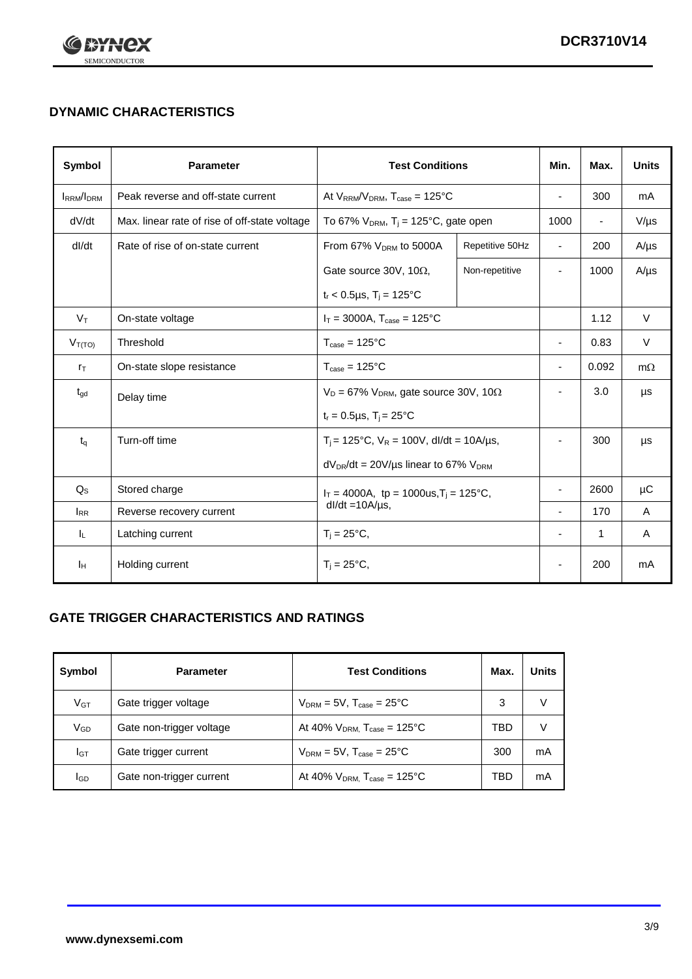

## **DYNAMIC CHARACTERISTICS**

| <b>Symbol</b>     | <b>Parameter</b>                              | <b>Test Conditions</b>                                                |                 | Min.                     | Max.           | <b>Units</b> |
|-------------------|-----------------------------------------------|-----------------------------------------------------------------------|-----------------|--------------------------|----------------|--------------|
| <b>IRRM</b> /IDRM | Peak reverse and off-state current            | At $V_{RRM}/V_{DRM}$ , $T_{case} = 125^{\circ}C$                      |                 | $\blacksquare$           | 300            | mA           |
| dV/dt             | Max. linear rate of rise of off-state voltage | To 67% $V_{DRM}$ , T <sub>i</sub> = 125°C, gate open                  |                 | 1000                     | $\blacksquare$ | $V/\mu s$    |
| dl/dt             | Rate of rise of on-state current              | From 67% $V_{DRM}$ to 5000A                                           | Repetitive 50Hz | $\blacksquare$           | 200            | $A/\mu s$    |
|                   |                                               | Gate source 30V, 10 $\Omega$ ,                                        | Non-repetitive  | ٠                        | 1000           | $A/\mu s$    |
|                   |                                               | $t_r$ < 0.5µs, T <sub>i</sub> = 125°C                                 |                 |                          |                |              |
| $V_T$             | On-state voltage                              | $I_T = 3000A$ , $T_{case} = 125^{\circ}C$                             |                 |                          | 1.12           | $\vee$       |
| $V_{T(TO)}$       | Threshold                                     | $T_{\text{case}} = 125^{\circ}C$                                      |                 | ٠                        | 0.83           | V            |
| $r_{\text{T}}$    | On-state slope resistance                     | $T_{\text{case}} = 125^{\circ}C$                                      |                 | $\overline{\phantom{a}}$ | 0.092          | $m\Omega$    |
| $t_{\rm gd}$      | Delay time                                    | $V_D = 67\%$ V <sub>DRM</sub> , gate source 30V, 10 $\Omega$          |                 | ٠                        | 3.0            | μs           |
|                   |                                               | $t_r = 0.5 \mu s$ , $T_i = 25^{\circ}C$                               |                 |                          |                |              |
| $t_{q}$           | Turn-off time                                 | $T_i$ = 125°C, $V_R$ = 100V, dl/dt = 10A/µs,                          |                 |                          | 300            | μs           |
|                   |                                               | $dV_{DR}/dt = 20 V/\mu s$ linear to 67% $V_{DRM}$                     |                 |                          |                |              |
| $Q_{\rm S}$       | Stored charge                                 | $I_T = 4000A$ , tp = 1000us, $T_i = 125$ °C,<br>$dl/dt = 10A/\mu s$ , |                 |                          | 2600           | $\mu$ C      |
| $I_{RR}$          | Reverse recovery current                      |                                                                       |                 | $\blacksquare$           | 170            | A            |
| JL.               | Latching current                              | $T_i = 25^{\circ}C$ ,                                                 |                 | ÷                        | $\mathbf{1}$   | Α            |
| Iн                | Holding current                               | $T_i = 25^{\circ}C,$                                                  |                 |                          | 200            | mA           |

### **GATE TRIGGER CHARACTERISTICS AND RATINGS**

| Symbol   | <b>Parameter</b>         | <b>Test Conditions</b>                       | Max. | <b>Units</b> |
|----------|--------------------------|----------------------------------------------|------|--------------|
| $V$ GT   | Gate trigger voltage     | $V_{DRM} = 5V$ , $T_{case} = 25^{\circ}C$    | 3    |              |
| $V_{GD}$ | Gate non-trigger voltage | At 40% $V_{DRM}$ , $T_{case}$ = 125°C        | TBD  |              |
| Iст      | Gate trigger current     | $V_{DRM} = 5V$ , $T_{case} = 25^{\circ}C$    | 300  | mA           |
| IGD      | Gate non-trigger current | At 40% $V_{DRM}$ , $T_{case} = 125^{\circ}C$ | TBD  | mA           |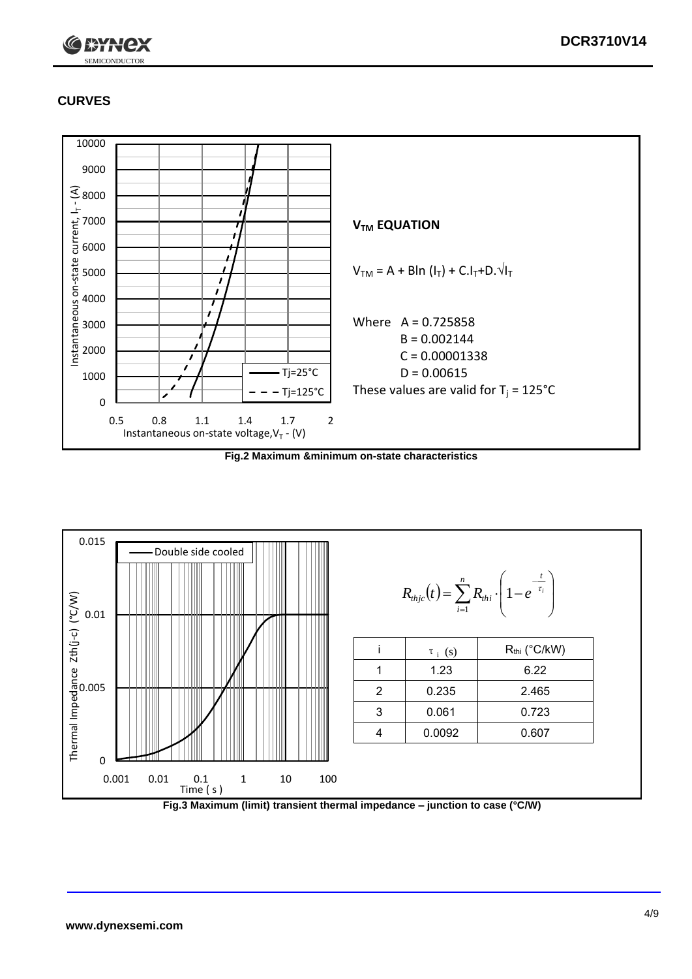

### **CURVES**



**Fig.2 Maximum &minimum on-state characteristics**



**Fig.3 Maximum (limit) transient thermal impedance – junction to case (°C/W)**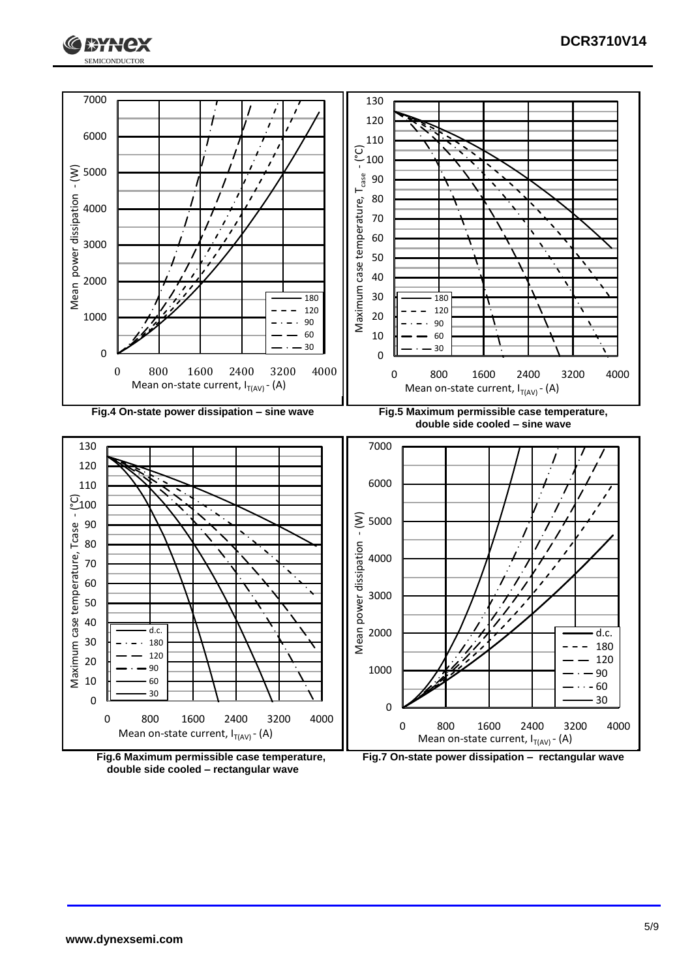



**double side cooled – rectangular wave**

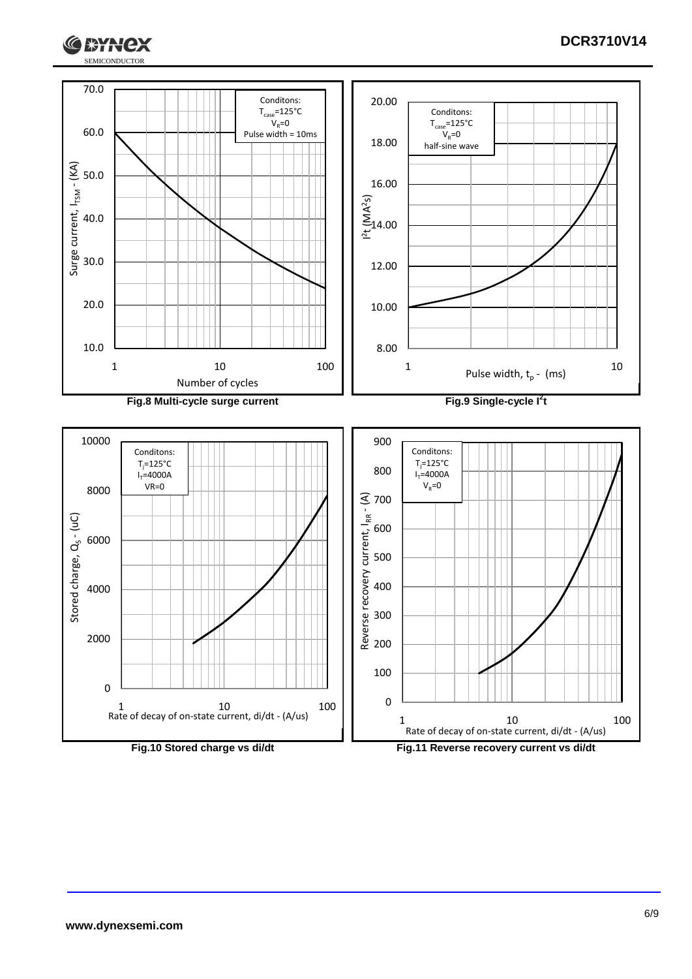

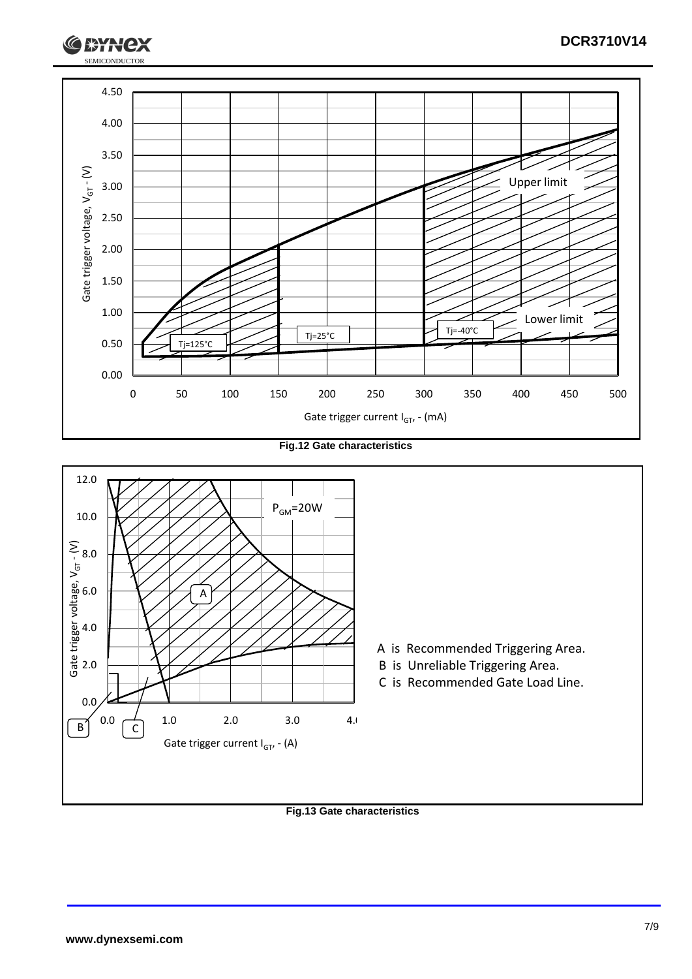

**Fig.12 Gate characteristics**



#### **Fig.13 Gate characteristics**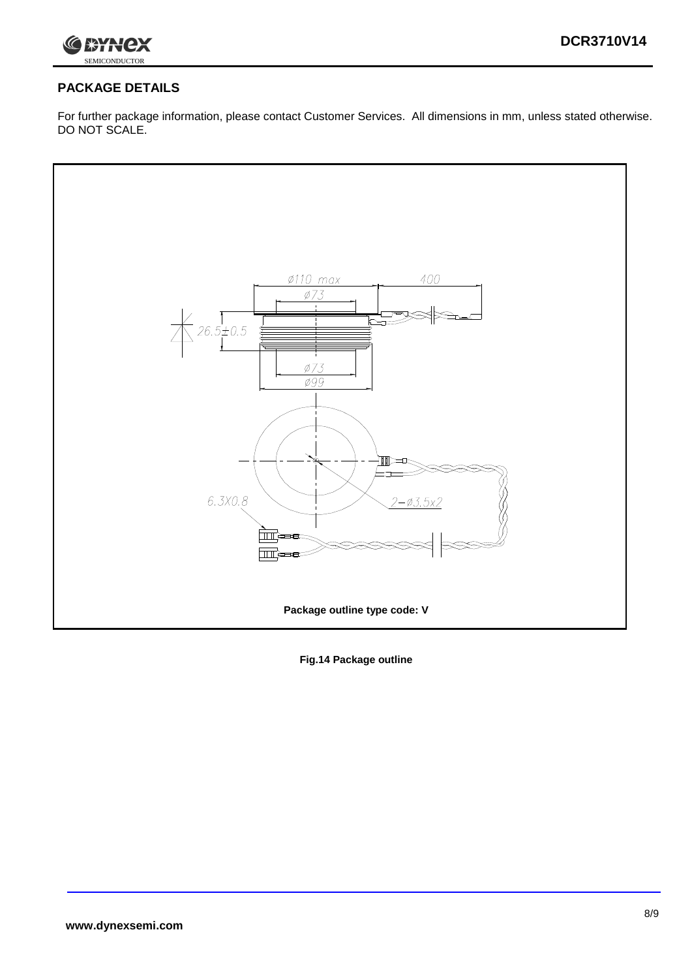

### **PACKAGE DETAILS**

For further package information, please contact Customer Services. All dimensions in mm, unless stated otherwise. DO NOT SCALE.



**Fig.14 Package outline**